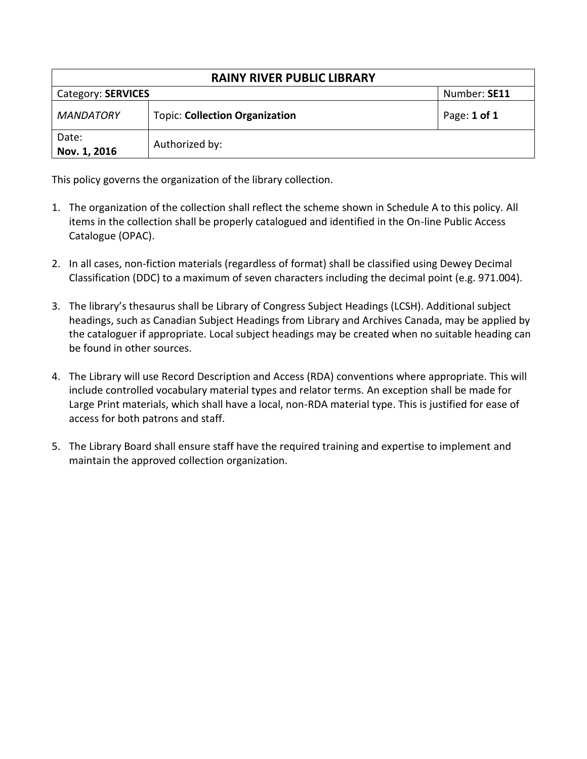| <b>RAINY RIVER PUBLIC LIBRARY</b> |                                       |              |  |  |  |
|-----------------------------------|---------------------------------------|--------------|--|--|--|
| Category: SERVICES                | Number: SE11                          |              |  |  |  |
| <b>MANDATORY</b>                  | <b>Topic: Collection Organization</b> | Page: 1 of 1 |  |  |  |
| Date:<br>Nov. 1, 2016             | Authorized by:                        |              |  |  |  |

This policy governs the organization of the library collection.

- 1. The organization of the collection shall reflect the scheme shown in Schedule A to this policy. All items in the collection shall be properly catalogued and identified in the On-line Public Access Catalogue (OPAC).
- 2. In all cases, non-fiction materials (regardless of format) shall be classified using Dewey Decimal Classification (DDC) to a maximum of seven characters including the decimal point (e.g. 971.004).
- 3. The library's thesaurus shall be Library of Congress Subject Headings (LCSH). Additional subject headings, such as Canadian Subject Headings from Library and Archives Canada, may be applied by the cataloguer if appropriate. Local subject headings may be created when no suitable heading can be found in other sources.
- 4. The Library will use Record Description and Access (RDA) conventions where appropriate. This will include controlled vocabulary material types and relator terms. An exception shall be made for Large Print materials, which shall have a local, non-RDA material type. This is justified for ease of access for both patrons and staff.
- 5. The Library Board shall ensure staff have the required training and expertise to implement and maintain the approved collection organization.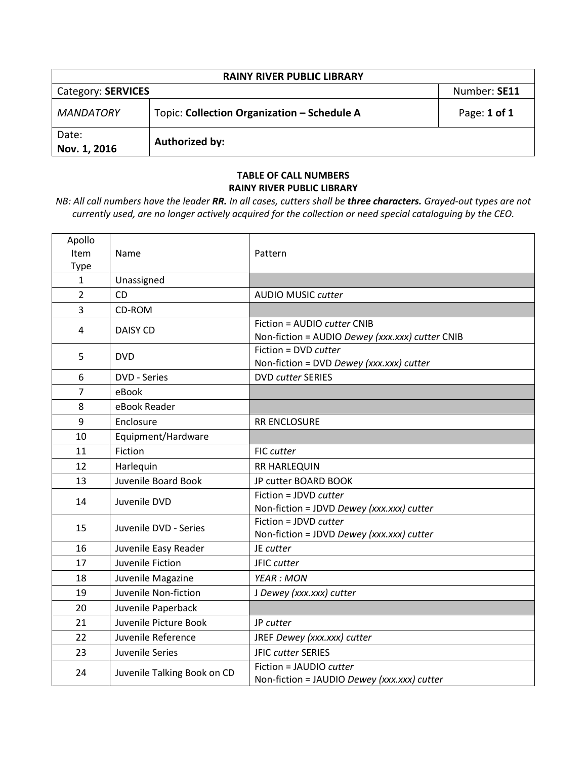| <b>RAINY RIVER PUBLIC LIBRARY</b> |                                             |                  |  |  |  |
|-----------------------------------|---------------------------------------------|------------------|--|--|--|
| Category: SERVICES                | Number: SE11                                |                  |  |  |  |
| <b>MANDATORY</b>                  | Topic: Collection Organization - Schedule A | Page: $1$ of $1$ |  |  |  |
| Date:<br>Nov. 1, 2016             | Authorized by:                              |                  |  |  |  |

## **TABLE OF CALL NUMBERS RAINY RIVER PUBLIC LIBRARY**

*NB: All call numbers have the leader RR. In all cases, cutters shall be three characters. Grayed-out types are not currently used, are no longer actively acquired for the collection or need special cataloguing by the CEO.*

| Apollo         |                             |                                                 |
|----------------|-----------------------------|-------------------------------------------------|
| Item           | Name                        | Pattern                                         |
| Type           |                             |                                                 |
| 1              | Unassigned                  |                                                 |
| $\overline{2}$ | <b>CD</b>                   | <b>AUDIO MUSIC cutter</b>                       |
| 3              | CD-ROM                      |                                                 |
| 4              | <b>DAISY CD</b>             | Fiction = AUDIO cutter CNIB                     |
|                |                             | Non-fiction = AUDIO Dewey (xxx.xxx) cutter CNIB |
| 5              | <b>DVD</b>                  | Fiction = DVD cutter                            |
|                |                             | Non-fiction = DVD Dewey (xxx.xxx) cutter        |
| 6              | <b>DVD - Series</b>         | <b>DVD cutter SERIES</b>                        |
| $\overline{7}$ | eBook                       |                                                 |
| 8              | eBook Reader                |                                                 |
| 9              | Enclosure                   | <b>RR ENCLOSURE</b>                             |
| 10             | Equipment/Hardware          |                                                 |
| 11             | Fiction                     | <b>FIC cutter</b>                               |
| 12             | Harlequin                   | <b>RR HARLEQUIN</b>                             |
| 13             | Juvenile Board Book         | JP cutter BOARD BOOK                            |
| 14             | Juvenile DVD                | Fiction = JDVD cutter                           |
|                |                             | Non-fiction = JDVD Dewey (xxx.xxx) cutter       |
| 15             | Juvenile DVD - Series       | Fiction = JDVD cutter                           |
|                |                             | Non-fiction = JDVD Dewey (xxx.xxx) cutter       |
| 16             | Juvenile Easy Reader        | JE cutter                                       |
| 17             | Juvenile Fiction            | JFIC cutter                                     |
| 18             | Juvenile Magazine           | <b>YEAR: MON</b>                                |
| 19             | Juvenile Non-fiction        | J Dewey (xxx.xxx) cutter                        |
| 20             | Juvenile Paperback          |                                                 |
| 21             | Juvenile Picture Book       | JP cutter                                       |
| 22             | Juvenile Reference          | JREF Dewey (xxx.xxx) cutter                     |
| 23             | Juvenile Series             | <b>JFIC cutter SERIES</b>                       |
| 24             | Juvenile Talking Book on CD | Fiction = JAUDIO cutter                         |
|                |                             | Non-fiction = JAUDIO Dewey (xxx.xxx) cutter     |